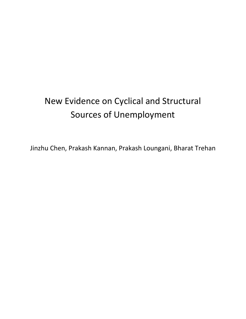# New Evidence on Cyclical and Structural Sources of Unemployment

Jinzhu Chen, Prakash Kannan, Prakash Loungani, Bharat Trehan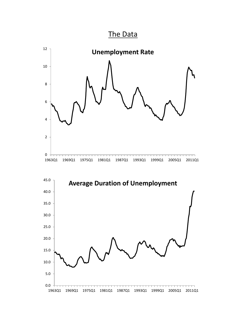

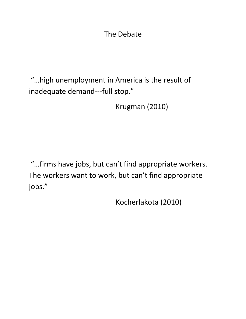### The Debate

"…high unemployment in America is the result of inadequate demand---full stop."

Krugman (2010)

"…firms have jobs, but can't find appropriate workers. The workers want to work, but can't find appropriate jobs."

Kocherlakota (2010)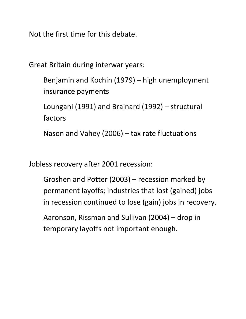Not the first time for this debate.

Great Britain during interwar years:

Benjamin and Kochin (1979) – high unemployment insurance payments

Loungani (1991) and Brainard (1992) – structural factors

Nason and Vahey (2006) – tax rate fluctuations

Jobless recovery after 2001 recession:

Groshen and Potter (2003) – recession marked by permanent layoffs; industries that lost (gained) jobs in recession continued to lose (gain) jobs in recovery.

Aaronson, Rissman and Sullivan (2004) – drop in temporary layoffs not important enough.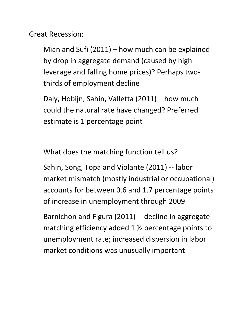Great Recession:

Mian and Sufi (2011) – how much can be explained by drop in aggregate demand (caused by high leverage and falling home prices)? Perhaps two‐ thirds of employment decline

Daly, Hobijn, Sahin, Valletta (2011) – how much could the natural rate have changed? Preferred estimate is 1 percentage point

What does the matching function tell us?

Sahin, Song, Topa and Violante (2011) ‐‐ labor market mismatch (mostly industrial or occupational) accounts for between 0.6 and 1.7 percentage points of increase in unemployment through 2009

Barnichon and Figura (2011) ‐‐ decline in aggregate matching efficiency added 1 ½ percentage points to unemployment rate; increased dispersion in labor market conditions was unusually important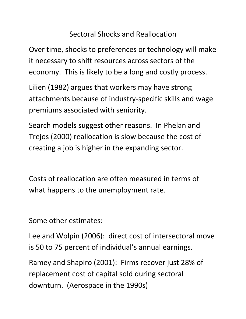# Sectoral Shocks and Reallocation

Over time, shocks to preferences or technology will make it necessary to shift resources across sectors of the economy. This is likely to be a long and costly process.

Lilien (1982) argues that workers may have strong attachments because of industry‐specific skills and wage premiums associated with seniority.

Search models suggest other reasons. In Phelan and Trejos (2000) reallocation is slow because the cost of creating a job is higher in the expanding sector.

Costs of reallocation are often measured in terms of what happens to the unemployment rate.

Some other estimates:

Lee and Wolpin (2006): direct cost of intersectoral move is 50 to 75 percent of individual's annual earnings.

Ramey and Shapiro (2001): Firms recover just 28% of replacement cost of capital sold during sectoral downturn. (Aerospace in the 1990s)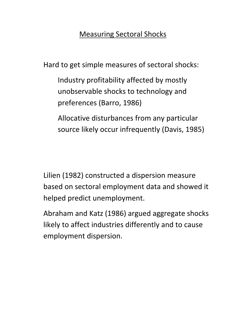## Measuring Sectoral Shocks

Hard to get simple measures of sectoral shocks:

Industry profitability affected by mostly unobservable shocks to technology and preferences (Barro, 1986)

Allocative disturbances from any particular source likely occur infrequently (Davis, 1985)

Lilien (1982) constructed a dispersion measure based on sectoral employment data and showed it helped predict unemployment.

Abraham and Katz (1986) argued aggregate shocks likely to affect industries differently and to cause employment dispersion.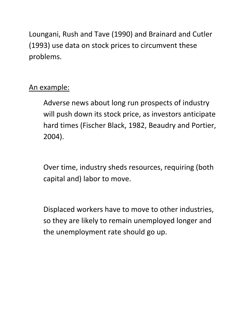Loungani, Rush and Tave (1990) and Brainard and Cutler (1993) use data on stock prices to circumvent these problems.

# An example:

Adverse news about long run prospects of industry will push down its stock price, as investors anticipate hard times (Fischer Black, 1982, Beaudry and Portier, 2004).

Over time, industry sheds resources, requiring (both capital and) labor to move.

Displaced workers have to move to other industries, so they are likely to remain unemployed longer and the unemployment rate should go up.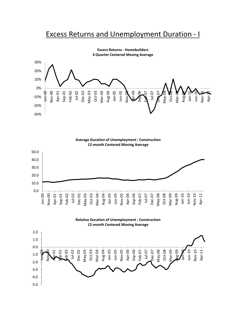### Excess Returns and Unemployment Duration ‐ I



**Excess Returns ‐ Homebuilders 3‐Quarter Centered Moving Average**



**Relative Duration of Unemployment : Construction 12‐month Centered Moving Average**

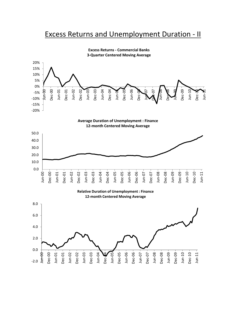#### Excess Returns and Unemployment Duration ‐ II



**Excess Returns ‐ Commercial Banks ‐Quarter Centered Moving Average**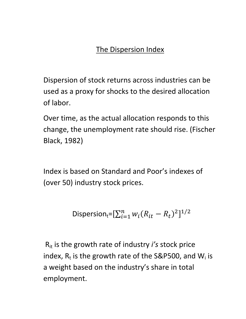# The Dispersion Index

Dispersion of stock returns across industries can be used as a proxy for shocks to the desired allocation of labor.

Over time, as the actual allocation responds to this change, the unemployment rate should rise. (Fischer Black, 1982)

Index is based on Standard and Poor's indexes of (over 50) industry stock prices.

$$
\text{Disperson}_{t} = [\sum_{i=1}^{n} w_i (R_{it} - R_t)^2]^{1/2}
$$

Rit is the growth rate of industry *i's* stock price index,  $R_t$  is the growth rate of the S&P500, and W<sub>i</sub> is a weight based on the industry's share in total employment.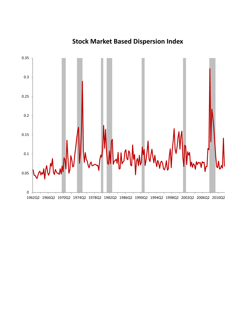

# **Stock Market Based Dispersion Index**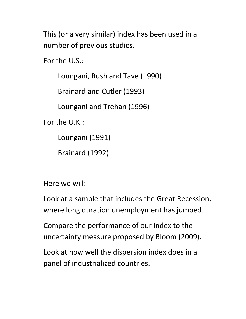This (or a very similar) index has been used in a number of previous studies.

For the U.S.:

Loungani, Rush and Tave (1990)

Brainard and Cutler (1993)

Loungani and Trehan (1996)

For the U.K.:

Loungani (1991)

Brainard (1992)

Here we will:

Look at a sample that includes the Great Recession, where long duration unemployment has jumped.

Compare the performance of our index to the uncertainty measure proposed by Bloom (2009).

Look at how well the dispersion index does in a panel of industrialized countries.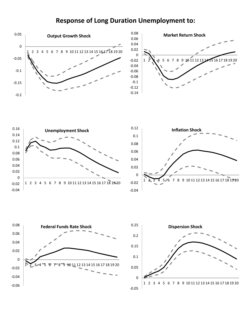#### **Response of Long Duration Unemployment to:**









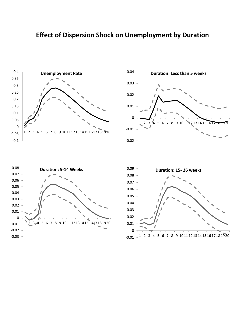#### **Effect of Dispersion Shock on Unemployment by Duration**







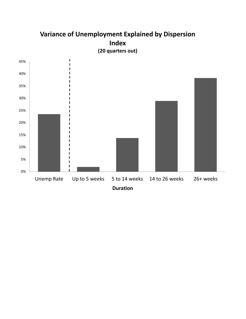### **Variance of Unemployment Explained by Dispersion Index (20 quarters out)**

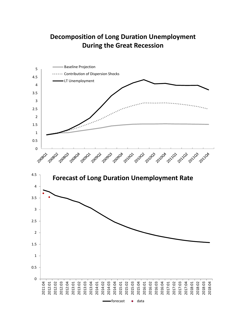### **Decomposition of Long Duration Unemployment During the Great Recession**

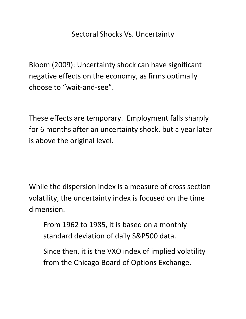## Sectoral Shocks Vs. Uncertainty

Bloom (2009): Uncertainty shock can have significant negative effects on the economy, as firms optimally choose to "wait‐and‐see".

These effects are temporary. Employment falls sharply for 6 months after an uncertainty shock, but a year later is above the original level.

While the dispersion index is a measure of cross section volatility, the uncertainty index is focused on the time dimension.

From 1962 to 1985, it is based on a monthly standard deviation of daily S&P500 data.

Since then, it is the VXO index of implied volatility from the Chicago Board of Options Exchange.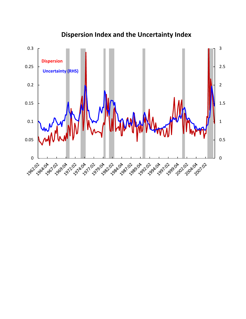

### **Dispersion Index and the Uncertainty Index**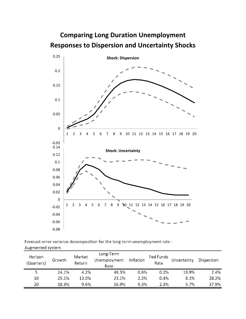# **Comparing Long Duration Unemployment Responses to Dispersion and Uncertainty Shocks**



Forecast-error variance decomposition for the long-term unemployment rate -Augmented system

| Horizon<br>(Quarters) | Growth | Market<br>Return | Long-Term<br>Unemployment<br>Rate | Inflation | <b>Fed Funds</b><br>Rate | Uncertainty | <b>Dispersion</b> |
|-----------------------|--------|------------------|-----------------------------------|-----------|--------------------------|-------------|-------------------|
| 5                     | 24.1%  | 4.2%             | 48.5%                             | 0.6%      | 0.2%                     | 19.9%       | 2.4%              |
| 10                    | 25.1%  | 13.0%            | 23.1%                             | 2.2%      | 0.4%                     | 8.1%        | 28.2%             |
| 20                    | 18.3%  | 9.6%             | 16.9%                             | 9.3%      | 2.3%                     | 5.7%        | 37.9%             |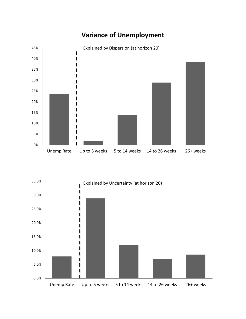

### **Variance of Unemployment**

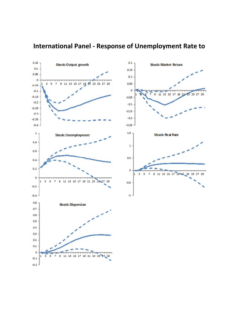

### Figure 15 - Impulse-Response Figures for Unemployment (Panel Var model) **International Panel ‐ Response of Unemployment Rate to**